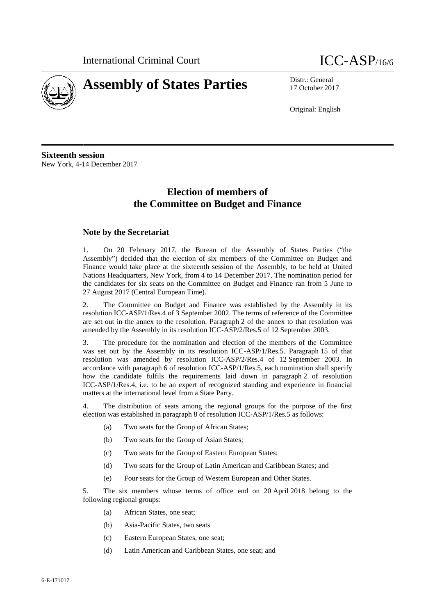



17 October 2017

Original: English

**Sixteenth session** New York, 4-14 December 2017

# **Election of members of the Committee on Budget and Finance**

## **Note by the Secretariat**

1. On 20 February 2017, the Bureau of the Assembly of States Parties ("the Assembly") decided that the election of six members of the Committee on Budget and Finance would take place at the sixteenth session of the Assembly, to be held at United Nations Headquarters, New York, from 4 to 14 December 2017. The nomination period for the candidates for six seats on the Committee on Budget and Finance ran from 5 June to 27 August 2017 (Central European Time).

2. The Committee on Budget and Finance was established by the Assembly in its resolution ICC-ASP/1/Res.4 of 3 September 2002. The terms of reference of the Committee are set out in the annex to the resolution. Paragraph 2 of the annex to that resolution was amended by the Assembly in its resolution ICC-ASP/2/Res.5 of 12 September 2003.

3. The procedure for the nomination and election of the members of the Committee was set out by the Assembly in its resolution ICC-ASP/1/Res.5. Paragraph 15 of that resolution was amended by resolution ICC-ASP/2/Res.4 of 12 September 2003. In accordance with paragraph 6 of resolution ICC-ASP/1/Res.5, each nomination shall specify how the candidate fulfils the requirements laid down in paragraph 2 of resolution ICC-ASP/1/Res.4, i.e. to be an expert of recognized standing and experience in financial matters at the international level from a State Party.

4. The distribution of seats among the regional groups for the purpose of the first election was established in paragraph 8 of resolution ICC-ASP/1/Res.5 as follows:

- (a) Two seats for the Group of African States;
- (b) Two seats for the Group of Asian States;
- (c) Two seats for the Group of Eastern European States;
- (d) Two seats for the Group of Latin American and Caribbean States; and
- (e) Four seats for the Group of Western European and Other States.

5. The six members whose terms of office end on 20 April 2018 belong to the following regional groups:

- (a) African States, one seat;
- (b) Asia-Pacific States, two seats
- (c) Eastern European States, one seat;
- (d) Latin American and Caribbean States, one seat; and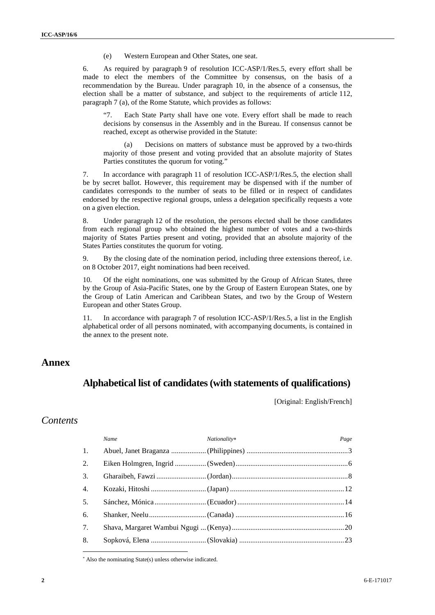(e) Western European and Other States, one seat.

6. As required by paragraph 9 of resolution ICC-ASP/1/Res.5, every effort shall be made to elect the members of the Committee by consensus, on the basis of a recommendation by the Bureau. Under paragraph 10, in the absence of a consensus, the election shall be a matter of substance, and subject to the requirements of article 112, paragraph 7 (a), of the Rome Statute, which provides as follows:

"7. Each State Party shall have one vote. Every effort shall be made to reach decisions by consensus in the Assembly and in the Bureau. If consensus cannot be reached, except as otherwise provided in the Statute:

(a) Decisions on matters of substance must be approved by a two-thirds majority of those present and voting provided that an absolute majority of States Parties constitutes the quorum for voting."

7. In accordance with paragraph 11 of resolution ICC-ASP/1/Res.5, the election shall be by secret ballot. However, this requirement may be dispensed with if the number of candidates corresponds to the number of seats to be filled or in respect of candidates endorsed by the respective regional groups, unless a delegation specifically requests a vote on a given election.

8. Under paragraph 12 of the resolution, the persons elected shall be those candidates from each regional group who obtained the highest number of votes and a two-thirds majority of States Parties present and voting, provided that an absolute majority of the States Parties constitutes the quorum for voting.

9. By the closing date of the nomination period, including three extensions thereof, i.e. on 8 October 2017, eight nominations had been received.

10. Of the eight nominations, one was submitted by the Group of African States, three by the Group of Asia-Pacific States, one by the Group of Eastern European States, one by the Group of Latin American and Caribbean States, and two by the Group of Western European and other States Group.

11. In accordance with paragraph 7 of resolution ICC-ASP/1/Res.5, a list in the English alphabetical order of all persons nominated, with accompanying documents, is contained in the annex to the present note.

## **Annex**

## **Alphabetical list of candidates(with statements of qualifications)**

[Original: English/French]

## *Contents*

|    | Name | Nationality* | Page |
|----|------|--------------|------|
| 1. |      |              |      |
| 2. |      |              |      |
| 3. |      |              |      |
| 4. |      |              |      |
| 5. |      |              |      |
| 6. |      |              |      |
| 7. |      |              |      |
| 8. |      |              |      |

Also the nominating State(s) unless otherwise indicated.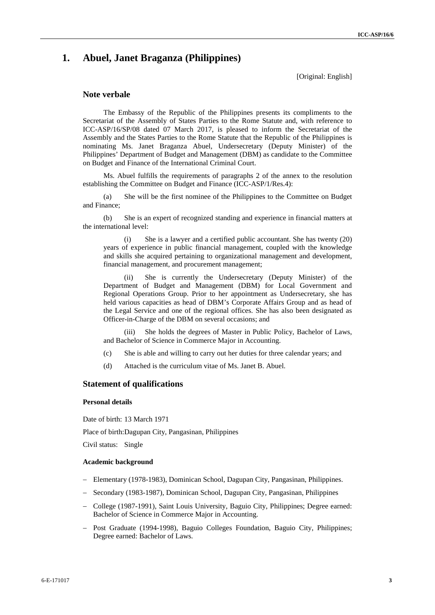## **1. Abuel, Janet Braganza (Philippines)**

[Original: English]

## **Note verbale**

The Embassy of the Republic of the Philippines presents its compliments to the Secretariat of the Assembly of States Parties to the Rome Statute and, with reference to ICC-ASP/16/SP/08 dated 07 March 2017, is pleased to inform the Secretariat of the Assembly and the States Parties to the Rome Statute that the Republic of the Philippines is nominating Ms. Janet Braganza Abuel, Undersecretary (Deputy Minister) of the Philippines' Department of Budget and Management (DBM) as candidate to the Committee on Budget and Finance of the International Criminal Court.

Ms. Abuel fulfills the requirements of paragraphs 2 of the annex to the resolution establishing the Committee on Budget and Finance (ICC-ASP/1/Res.4):

(a) She will be the first nominee of the Philippines to the Committee on Budget and Finance;

(b) She is an expert of recognized standing and experience in financial matters at the international level:

(i) She is a lawyer and a certified public accountant. She has twenty (20) years of experience in public financial management, coupled with the knowledge and skills she acquired pertaining to organizational management and development, financial management, and procurement management;

(ii) She is currently the Undersecretary (Deputy Minister) of the Department of Budget and Management (DBM) for Local Government and Regional Operations Group. Prior to her appointment as Undersecretary, she has held various capacities as head of DBM's Corporate Affairs Group and as head of the Legal Service and one of the regional offices. She has also been designated as Officer-in-Charge of the DBM on several occasions; and

(iii) She holds the degrees of Master in Public Policy, Bachelor of Laws, and Bachelor of Science in Commerce Major in Accounting.

- (c) She is able and willing to carry out her duties for three calendar years; and
- (d) Attached is the curriculum vitae of Ms. Janet B. Abuel.

## **Statement of qualifications**

#### **Personal details**

Date of birth: 13 March 1971

Place of birth:Dagupan City, Pangasinan, Philippines

Civil status: Single

#### **Academic background**

- Elementary (1978-1983), Dominican School, Dagupan City, Pangasinan, Philippines.
- Secondary (1983-1987), Dominican School, Dagupan City, Pangasinan, Philippines
- College (1987-1991), Saint Louis University, Baguio City, Philippines; Degree earned: Bachelor of Science in Commerce Major in Accounting.
- Post Graduate (1994-1998), Baguio Colleges Foundation, Baguio City, Philippines; Degree earned: Bachelor of Laws.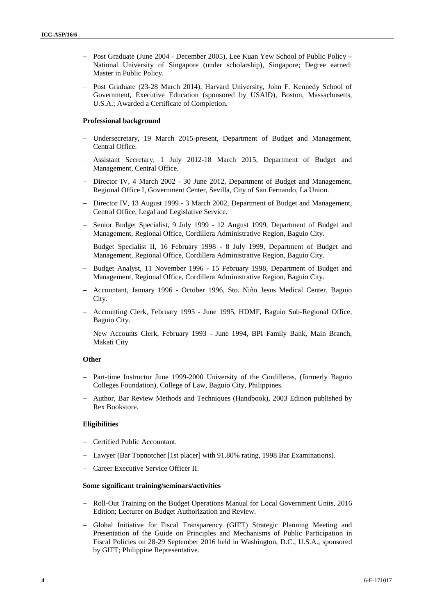- Post Graduate (June 2004 December 2005), Lee Kuan Yew School of Public Policy National University of Singapore (under scholarship)*,* Singapore; Degree earned: Master in Public Policy.
- Post Graduate (23-28 March 2014), Harvard University, John F. Kennedy School of Government, Executive Education (sponsored by USAID)*,* Boston, Massachusetts, U.S.A.; Awarded a Certificate of Completion.

#### **Professional background**

- Undersecretary, 19 March 2015-present, Department of Budget and Management, Central Office.
- Assistant Secretary, 1 July 2012-18 March 2015, Department of Budget and Management, Central Office.
- Director IV, 4 March 2002 30 June 2012, Department of Budget and Management, Regional Office I, Government Center, Sevilla, City of San Fernando, La Union.
- Director IV, 13 August 1999 3 March 2002, Department of Budget and Management, Central Office, Legal and Legislative Service.
- Senior Budget Specialist, 9 July 1999 12 August 1999, Department of Budget and Management, Regional Office, Cordillera Administrative Region, Baguio City.
- Budget Specialist II, 16 February 1998 8 July 1999, Department of Budget and Management, Regional Office, Cordillera Administrative Region, Baguio City.
- Budget Analyst, 11 November 1996 15 February 1998, Department of Budget and Management, Regional Office, Cordillera Administrative Region, Baguio City.
- Accountant, January 1996 October 1996, Sto. Niño Jesus Medical Center, Baguio City.
- Accounting Clerk, February 1995 June 1995, HDMF, Baguio Sub-Regional Office, Baguio City.
- New Accounts Clerk, February 1993 June 1994, BPI Family Bank, Main Branch, Makati City

#### **Other**

- Part-time Instructor June 1999-2000 University of the Cordilleras, (formerly Baguio Colleges Foundation), College of Law, Baguio City, Philippines.
- Author, Bar Review Methods and Techniques (Handbook), 2003 Edition published by Rex Bookstore.

#### **Eligibilities**

- Certified Public Accountant.
- Lawyer (Bar Topnotcher [1st placer] with 91.80% rating, 1998 Bar Examinations).
- Career Executive Service Officer II.

#### **Some significant training/seminars/activities**

- Roll-Out Training on the Budget Operations Manual for Local Government Units, 2016 Edition; Lecturer on Budget Authorization and Review.
- Global Initiative for Fiscal Transparency (GIFT) Strategic Planning Meeting and Presentation of the Guide on Principles and Mechanisms of Public Participation in Fiscal Policies on 28-29 September 2016 held in Washington, D.C., U.S.A., sponsored by GIFT; Philippine Representative.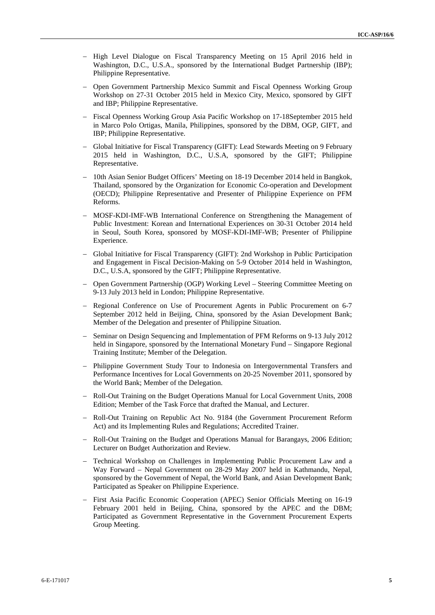- High Level Dialogue on Fiscal Transparency Meeting on 15 April 2016 held in Washington, D.C., U.S.A., sponsored by the International Budget Partnership (IBP); Philippine Representative.
- Open Government Partnership Mexico Summit and Fiscal Openness Working Group Workshop on 27-31 October 2015 held in Mexico City, Mexico, sponsored by GIFT and IBP; Philippine Representative.
- Fiscal Openness Working Group Asia Pacific Workshop on 17-18September 2015 held in Marco Polo Ortigas, Manila, Philippines, sponsored by the DBM, OGP, GIFT, and IBP; Philippine Representative.
- Global Initiative for Fiscal Transparency (GIFT): Lead Stewards Meeting on 9 February 2015 held in Washington, D.C., U.S.A, sponsored by the GIFT; Philippine Representative.
- 10th Asian Senior Budget Officers' Meeting on 18-19 December 2014 held in Bangkok, Thailand, sponsored by the Organization for Economic Co-operation and Development (OECD); Philippine Representative and Presenter of Philippine Experience on PFM Reforms.
- MOSF-KDI-IMF-WB International Conference on Strengthening the Management of Public Investment: Korean and International Experiences on 30-31 October 2014 held in Seoul, South Korea, sponsored by MOSF-KDI-IMF-WB; Presenter of Philippine Experience.
- Global Initiative for Fiscal Transparency (GIFT): 2nd Workshop in Public Participation and Engagement in Fiscal Decision-Making on 5-9 October 2014 held in Washington, D.C., U.S.A, sponsored by the GIFT; Philippine Representative.
- Open Government Partnership (OGP) Working Level Steering Committee Meeting on 9-13 July 2013 held in London; Philippine Representative.
- Regional Conference on Use of Procurement Agents in Public Procurement on 6-7 September 2012 held in Beijing, China, sponsored by the Asian Development Bank; Member of the Delegation and presenter of Philippine Situation.
- Seminar on Design Sequencing and Implementation of PFM Reforms on 9-13 July 2012 held in Singapore, sponsored by the International Monetary Fund – Singapore Regional Training Institute; Member of the Delegation.
- Philippine Government Study Tour to Indonesia on Intergovernmental Transfers and Performance Incentives for Local Governments on 20-25 November 2011, sponsored by the World Bank; Member of the Delegation.
- Roll-Out Training on the Budget Operations Manual for Local Government Units, 2008 Edition; Member of the Task Force that drafted the Manual, and Lecturer.
- Roll-Out Training on Republic Act No. 9184 (the Government Procurement Reform Act) and its Implementing Rules and Regulations; Accredited Trainer.
- Roll-Out Training on the Budget and Operations Manual for Barangays, 2006 Edition; Lecturer on Budget Authorization and Review.
- Technical Workshop on Challenges in Implementing Public Procurement Law and a Way Forward – Nepal Government on 28-29 May 2007 held in Kathmandu, Nepal, sponsored by the Government of Nepal, the World Bank, and Asian Development Bank; Participated as Speaker on Philippine Experience.
- First Asia Pacific Economic Cooperation (APEC) Senior Officials Meeting on 16-19 February 2001 held in Beijing, China, sponsored by the APEC and the DBM; Participated as Government Representative in the Government Procurement Experts Group Meeting.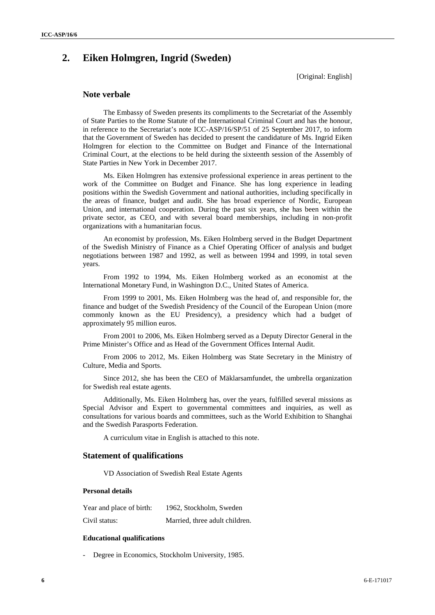# **2. Eiken Holmgren, Ingrid (Sweden)**

[Original: English]

## **Note verbale**

The Embassy of Sweden presents its compliments to the Secretariat of the Assembly of State Parties to the Rome Statute of the International Criminal Court and has the honour, in reference to the Secretariat's note ICC-ASP/16/SP/51 of 25 September 2017, to inform that the Government of Sweden has decided to present the candidature of Ms. Ingrid Eiken Holmgren for election to the Committee on Budget and Finance of the International Criminal Court, at the elections to be held during the sixteenth session of the Assembly of State Parties in New York in December 2017.

Ms. Eiken Holmgren has extensive professional experience in areas pertinent to the work of the Committee on Budget and Finance. She has long experience in leading positions within the Swedish Government and national authorities, including specifically in the areas of finance, budget and audit. She has broad experience of Nordic, European Union, and international cooperation. During the past six years, she has been within the private sector, as CEO, and with several board memberships, including in non-profit organizations with a humanitarian focus.

An economist by profession, Ms. Eiken Holmberg served in the Budget Department of the Swedish Ministry of Finance as a Chief Operating Officer of analysis and budget negotiations between 1987 and 1992, as well as between 1994 and 1999, in total seven years.

From 1992 to 1994, Ms. Eiken Holmberg worked as an economist at the International Monetary Fund, in Washington D.C., United States of America.

From 1999 to 2001, Ms. Eiken Holmberg was the head of, and responsible for, the finance and budget of the Swedish Presidency of the Council of the European Union (more commonly known as the EU Presidency), a presidency which had a budget of approximately 95 million euros.

From 2001 to 2006, Ms. Eiken Holmberg served as a Deputy Director General in the Prime Minister's Office and as Head of the Government Offices Internal Audit.

From 2006 to 2012, Ms. Eiken Holmberg was State Secretary in the Ministry of Culture, Media and Sports.

Since 2012, she has been the CEO of Mäklarsamfundet, the umbrella organization for Swedish real estate agents.

Additionally, Ms. Eiken Holmberg has, over the years, fulfilled several missions as Special Advisor and Expert to governmental committees and inquiries, as well as consultations for various boards and committees, such as the World Exhibition to Shanghai and the Swedish Parasports Federation.

A curriculum vitae in English is attached to this note.

## **Statement of qualifications**

VD Association of Swedish Real Estate Agents

## **Personal details**

| Year and place of birth: | 1962, Stockholm, Sweden        |
|--------------------------|--------------------------------|
| Civil status:            | Married, three adult children. |

#### **Educational qualifications**

Degree in Economics, Stockholm University, 1985.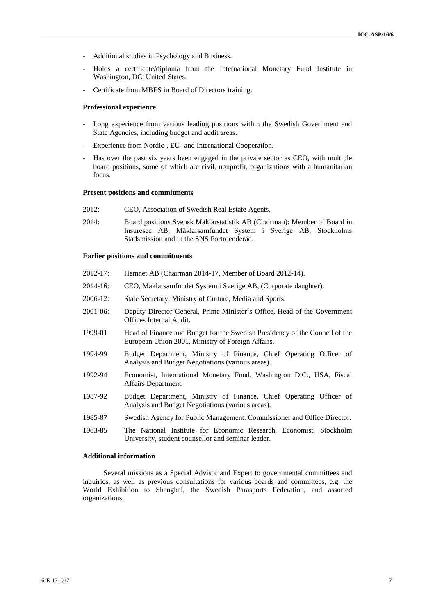- Additional studies in Psychology and Business.
- Holds a certificate/diploma from the International Monetary Fund Institute in Washington, DC, United States.
- Certificate from MBES in Board of Directors training.

#### **Professional experience**

- Long experience from various leading positions within the Swedish Government and State Agencies, including budget and audit areas.
- Experience from Nordic-, EU- and International Cooperation.
- Has over the past six years been engaged in the private sector as CEO, with multiple board positions, some of which are civil, nonprofit, organizations with a humanitarian focus.

#### **Present positions and commitments**

- 2012: CEO, Association of Swedish Real Estate Agents.
- 2014: Board positions Svensk Mäklarstatistik AB (Chairman): Member of Board in Insuresec AB, Mäklarsamfundet System i Sverige AB, Stockholms Stadsmission and in the SNS Förtroenderåd.

#### **Earlier positions and commitments**

- 2012-17: Hemnet AB (Chairman 2014-17, Member of Board 2012-14).
- 2014-16: CEO, Mäklarsamfundet System i Sverige AB, (Corporate daughter).
- 2006-12: State Secretary, Ministry of Culture, Media and Sports.
- 2001-06: Deputy Director-General, Prime Minister´s Office, Head of the Government Offices Internal Audit.
- 1999-01 Head of Finance and Budget for the Swedish Presidency of the Council of the European Union 2001, Ministry of Foreign Affairs.
- 1994-99 Budget Department, Ministry of Finance, Chief Operating Officer of Analysis and Budget Negotiations (various areas).
- 1992-94 Economist, International Monetary Fund, Washington D.C., USA, Fiscal Affairs Department.
- 1987-92 Budget Department, Ministry of Finance, Chief Operating Officer of Analysis and Budget Negotiations (various areas).
- 1985-87 Swedish Agency for Public Management. Commissioner and Office Director.
- 1983-85 The National Institute for Economic Research, Economist, Stockholm University, student counsellor and seminar leader.

#### **Additional information**

Several missions as a Special Advisor and Expert to governmental committees and inquiries, as well as previous consultations for various boards and committees, e.g. the World Exhibition to Shanghai, the Swedish Parasports Federation, and assorted organizations.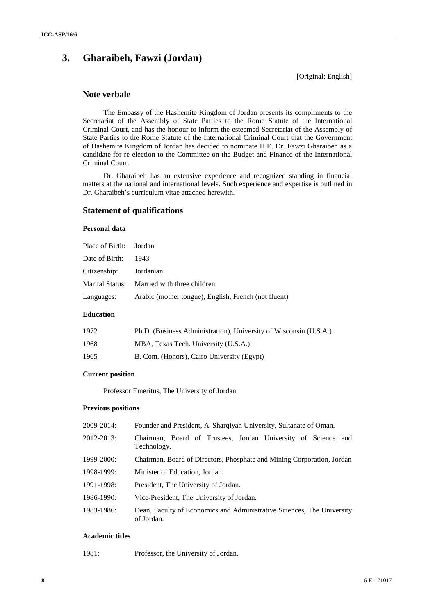# **3. Gharaibeh, Fawzi (Jordan)**

[Original: English]

## **Note verbale**

The Embassy of the Hashemite Kingdom of Jordan presents its compliments to the Secretariat of the Assembly of State Parties to the Rome Statute of the International Criminal Court, and has the honour to inform the esteemed Secretariat of the Assembly of State Parties to the Rome Statute of the International Criminal Court that the Government of Hashemite Kingdom of Jordan has decided to nominate H.E. Dr. Fawzi Gharaibeh as a candidate for re-election to the Committee on the Budget and Finance of the International Criminal Court.

Dr. Gharaibeh has an extensive experience and recognized standing in financial matters at the national and international levels. Such experience and expertise is outlined in Dr. Gharaibeh's curriculum vitae attached herewith.

## **Statement of qualifications**

## **Personal data**

| Place of Birth: Jordan |                                                      |
|------------------------|------------------------------------------------------|
| Date of Birth:         | 1943                                                 |
| Citizenship: Jordanian |                                                      |
|                        | Marital Status: Married with three children          |
| Languages:             | Arabic (mother tongue), English, French (not fluent) |

### **Education**

| 1972 | Ph.D. (Business Administration), University of Wisconsin (U.S.A.) |
|------|-------------------------------------------------------------------|
| 1968 | MBA, Texas Tech. University (U.S.A.)                              |
| 1965 | B. Com. (Honors), Cairo University (Egypt)                        |

#### **Current position**

Professor Emeritus, The University of Jordan.

#### **Previous positions**

| 2009-2014: | Founder and President, A' Sharqiyah University, Sultanate of Oman.                   |  |  |
|------------|--------------------------------------------------------------------------------------|--|--|
| 2012-2013: | Chairman, Board of Trustees, Jordan University of Science and<br>Technology.         |  |  |
| 1999-2000: | Chairman, Board of Directors, Phosphate and Mining Corporation, Jordan               |  |  |
| 1998-1999: | Minister of Education, Jordan.                                                       |  |  |
| 1991-1998: | President, The University of Jordan.                                                 |  |  |
| 1986-1990: | Vice-President, The University of Jordan.                                            |  |  |
| 1983-1986: | Dean, Faculty of Economics and Administrative Sciences, The University<br>of Jordan. |  |  |
|            |                                                                                      |  |  |

## **Academic titles**

1981: Professor, the University of Jordan.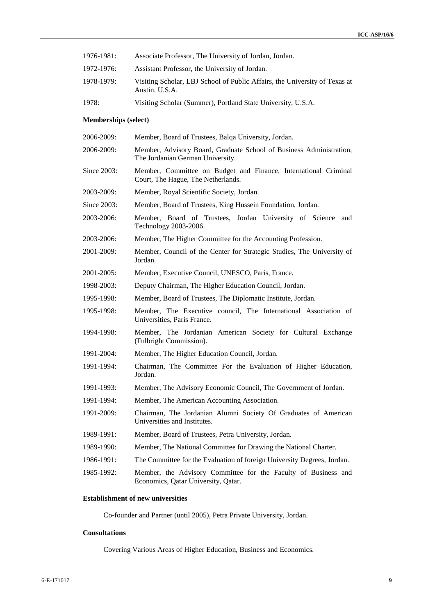| 1976-1981: | Associate Professor, The University of Jordan, Jordan.                                       |
|------------|----------------------------------------------------------------------------------------------|
| 1972-1976: | Assistant Professor, the University of Jordan.                                               |
| 1978-1979: | Visiting Scholar, LBJ School of Public Affairs, the University of Texas at<br>Austin. U.S.A. |
| 1978:      | Visiting Scholar (Summer), Portland State University, U.S.A.                                 |

## **Memberships (select)**

| 2006-2009:  | Member, Board of Trustees, Balqa University, Jordan.                                                    |
|-------------|---------------------------------------------------------------------------------------------------------|
| 2006-2009:  | Member, Advisory Board, Graduate School of Business Administration,<br>The Jordanian German University. |
| Since 2003: | Member, Committee on Budget and Finance, International Criminal<br>Court, The Hague, The Netherlands.   |
| 2003-2009:  | Member, Royal Scientific Society, Jordan.                                                               |
| Since 2003: | Member, Board of Trustees, King Hussein Foundation, Jordan.                                             |
| 2003-2006:  | Member, Board of Trustees, Jordan University of Science and<br>Technology 2003-2006.                    |
| 2003-2006:  | Member, The Higher Committee for the Accounting Profession.                                             |
| 2001-2009:  | Member, Council of the Center for Strategic Studies, The University of<br>Jordan.                       |
| 2001-2005:  | Member, Executive Council, UNESCO, Paris, France.                                                       |
| 1998-2003:  | Deputy Chairman, The Higher Education Council, Jordan.                                                  |
| 1995-1998:  | Member, Board of Trustees, The Diplomatic Institute, Jordan.                                            |
| 1995-1998:  | Member, The Executive council, The International Association of<br>Universities, Paris France.          |
| 1994-1998:  | Member, The Jordanian American Society for Cultural Exchange<br>(Fulbright Commission).                 |
| 1991-2004:  | Member, The Higher Education Council, Jordan.                                                           |
| 1991-1994:  | Chairman, The Committee For the Evaluation of Higher Education,<br>Jordan.                              |
| 1991-1993:  | Member, The Advisory Economic Council, The Government of Jordan.                                        |
| 1991-1994:  | Member, The American Accounting Association.                                                            |
| 1991-2009:  | Chairman, The Jordanian Alumni Society Of Graduates of American<br>Universities and Institutes.         |
| 1989-1991:  | Member, Board of Trustees, Petra University, Jordan.                                                    |
| 1989-1990:  | Member, The National Committee for Drawing the National Charter.                                        |
| 1986-1991:  | The Committee for the Evaluation of foreign University Degrees, Jordan.                                 |
| 1985-1992:  | Member, the Advisory Committee for the Faculty of Business and<br>Economics, Qatar University, Qatar.   |
|             |                                                                                                         |

## **Establishment of new universities**

Co-founder and Partner (until 2005), Petra Private University, Jordan.

## **Consultations**

Covering Various Areas of Higher Education, Business and Economics.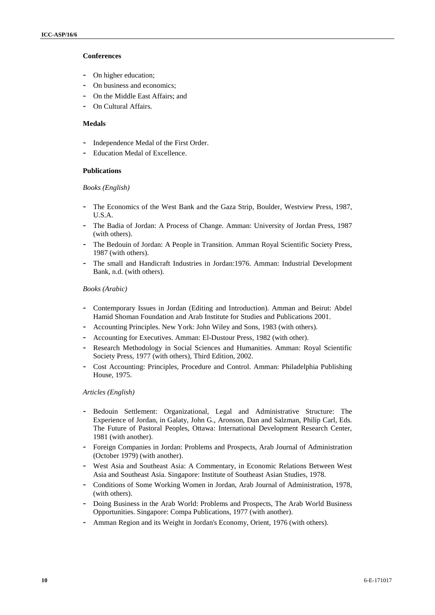## **Conferences**

- On higher education;
- On business and economics;
- On the Middle East Affairs; and
- On Cultural Affairs.

## **Medals**

- Independence Medal of the First Order.
- Education Medal of Excellence.

#### **Publications**

#### *Books (English)*

- The Economics of the West Bank and the Gaza Strip, Boulder, Westview Press, 1987, U.S.A.
- The Badia of Jordan: A Process of Change. Amman: University of Jordan Press, 1987 (with others).
- The Bedouin of Jordan: A People in Transition. Amman Royal Scientific Society Press, 1987 (with others).
- The small and Handicraft Industries in Jordan:1976. Amman: Industrial Development Bank, n.d. (with others).

#### *Books (Arabic)*

- Contemporary Issues in Jordan (Editing and Introduction). Amman and Beirut: Abdel Hamid Shoman Foundation and Arab Institute for Studies and Publications 2001.
- Accounting Principles. New York: John Wiley and Sons, 1983 (with others).
- Accounting for Executives. Amman: El-Dustour Press, 1982 (with other).
- Research Methodology in Social Sciences and Humanities. Amman: Royal Scientific Society Press, 1977 (with others), Third Edition, 2002.
- Cost Accounting: Principles, Procedure and Control. Amman: Philadelphia Publishing House, 1975.

#### *Articles (English)*

- Bedouin Settlement: Organizational, Legal and Administrative Structure: The Experience of Jordan, in Galaty, John G., Aronson, Dan and Salzman, Philip Carl, Eds. The Future of Pastoral Peoples, Ottawa: International Development Research Center, 1981 (with another).
- Foreign Companies in Jordan: Problems and Prospects, Arab Journal of Administration (October 1979) (with another).
- West Asia and Southeast Asia: A Commentary, in Economic Relations Between West Asia and Southeast Asia. Singapore: Institute of Southeast Asian Studies, 1978.
- Conditions of Some Working Women in Jordan, Arab Journal of Administration, 1978, (with others).
- Doing Business in the Arab World: Problems and Prospects, The Arab World Business Opportunities. Singapore: Compa Publications, 1977 (with another).
- Amman Region and its Weight in Jordan's Economy, Orient, 1976 (with others).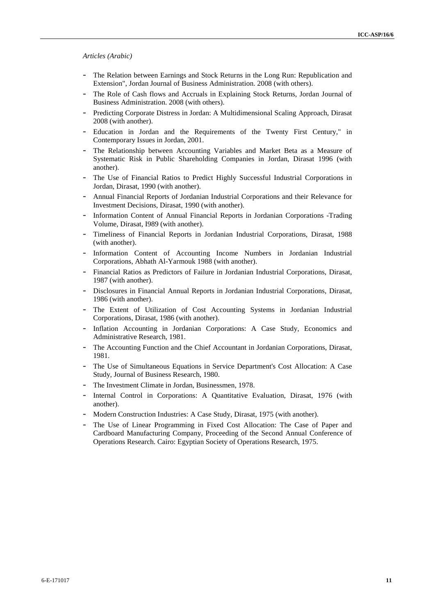#### *Articles (Arabic)*

- The Relation between Earnings and Stock Returns in the Long Run: Republication and Extension", Jordan Journal of Business Administration. 2008 (with others).
- The Role of Cash flows and Accruals in Explaining Stock Returns, Jordan Journal of Business Administration. 2008 (with others).
- Predicting Corporate Distress in Jordan: A Multidimensional Scaling Approach, Dirasat 2008 (with another).
- Education in Jordan and the Requirements of the Twenty First Century," in Contemporary Issues in Jordan, 2001.
- The Relationship between Accounting Variables and Market Beta as a Measure of Systematic Risk in Public Shareholding Companies in Jordan, Dirasat 1996 (with another).
- The Use of Financial Ratios to Predict Highly Successful Industrial Corporations in Jordan, Dirasat, 1990 (with another).
- Annual Financial Reports of Jordanian Industrial Corporations and their Relevance for Investment Decisions, Dirasat, 1990 (with another).
- Information Content of Annual Financial Reports in Jordanian Corporations -Trading Volume, Dirasat, I989 (with another).
- Timeliness of Financial Reports in Jordanian Industrial Corporations, Dirasat, 1988 (with another).
- Information Content of Accounting Income Numbers in Jordanian Industrial Corporations, Abhath Al-Yarmouk 1988 (with another).
- Financial Ratios as Predictors of Failure in Jordanian Industrial Corporations, Dirasat, 1987 (with another).
- Disclosures in Financial Annual Reports in Jordanian Industrial Corporations, Dirasat, 1986 (with another).
- The Extent of Utilization of Cost Accounting Systems in Jordanian Industrial Corporations, Dirasat, 1986 (with another).
- Inflation Accounting in Jordanian Corporations: A Case Study, Economics and Administrative Research, 1981.
- The Accounting Function and the Chief Accountant in Jordanian Corporations, Dirasat, 1981.
- The Use of Simultaneous Equations in Service Department's Cost Allocation: A Case Study, Journal of Business Research, 1980.
- The Investment Climate in Jordan, Businessmen, 1978.
- Internal Control in Corporations: A Quantitative Evaluation, Dirasat, 1976 (with another).
- Modern Construction Industries: A Case Study, Dirasat, 1975 (with another).
- The Use of Linear Programming in Fixed Cost Allocation: The Case of Paper and Cardboard Manufacturing Company, Proceeding of the Second Annual Conference of Operations Research. Cairo: Egyptian Society of Operations Research, 1975.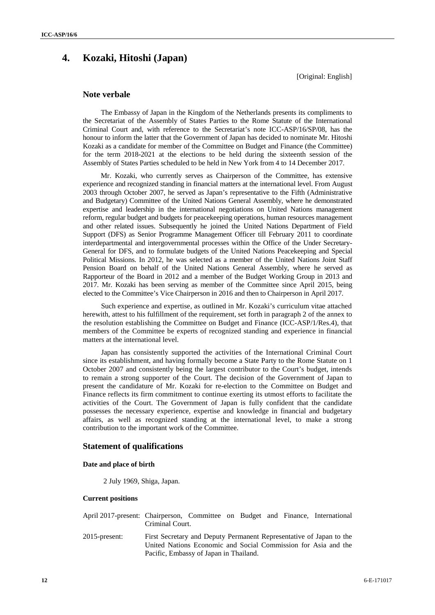# **4. Kozaki, Hitoshi (Japan)**

[Original: English]

## **Note verbale**

The Embassy of Japan in the Kingdom of the Netherlands presents its compliments to the Secretariat of the Assembly of States Parties to the Rome Statute of the International Criminal Court and, with reference to the Secretariat's note ICC-ASP/16/SP/08, has the honour to inform the latter that the Government of Japan has decided to nominate Mr. Hitoshi Kozaki as a candidate for member of the Committee on Budget and Finance (the Committee) for the term 2018-2021 at the elections to be held during the sixteenth session of the Assembly of States Parties scheduled to be held in New York from 4 to 14 December 2017.

Mr. Kozaki, who currently serves as Chairperson of the Committee, has extensive experience and recognized standing in financial matters at the international level. From August 2003 through October 2007, he served as Japan's representative to the Fifth (Administrative and Budgetary) Committee of the United Nations General Assembly, where he demonstrated expertise and leadership in the international negotiations on United Nations management reform, regular budget and budgets for peacekeeping operations, human resources management and other related issues. Subsequently he joined the United Nations Department of Field Support (DFS) as Senior Programme Management Officer till February 2011 to coordinate interdepartmental and intergovernmental processes within the Office of the Under Secretary- General for DFS, and to formulate budgets of the United Nations Peacekeeping and Special Political Missions. In 2012, he was selected as a member of the United Nations Joint Staff Pension Board on behalf of the United Nations General Assembly, where he served as Rapporteur of the Board in 2012 and a member of the Budget Working Group in 2013 and 2017. Mr. Kozaki has been serving as member of the Committee since April 2015, being elected to the Committee's Vice Chairperson in 2016 and then to Chairperson in April 2017.

Such experience and expertise, as outlined in Mr. Kozaki's curriculum vitae attached herewith, attest to his fulfillment of the requirement, set forth in paragraph 2 of the annex to the resolution establishing the Committee on Budget and Finance (ICC-ASP/1/Res.4), that members of the Committee be experts of recognized standing and experience in financial matters at the international level.

Japan has consistently supported the activities of the International Criminal Court since its establishment, and having formally become a State Party to the Rome Statute on 1 October 2007 and consistently being the largest contributor to the Court's budget, intends to remain a strong supporter of the Court. The decision of the Government of Japan to present the candidature of Mr. Kozaki for re-election to the Committee on Budget and Finance reflects its firm commitment to continue exerting its utmost efforts to facilitate the activities of the Court. The Government of Japan is fully confident that the candidate possesses the necessary experience, expertise and knowledge in financial and budgetary affairs, as well as recognized standing at the international level, to make a strong contribution to the important work of the Committee.

## **Statement of qualifications**

#### **Date and place of birth**

2 July 1969, Shiga, Japan.

## **Current positions**

| April 2017-present: Chairperson, Committee on Budget and Finance, International | Criminal Court.                                                                                                                                                                 |  |  |  |  |
|---------------------------------------------------------------------------------|---------------------------------------------------------------------------------------------------------------------------------------------------------------------------------|--|--|--|--|
| 2015-present:                                                                   | First Secretary and Deputy Permanent Representative of Japan to the<br>United Nations Economic and Social Commission for Asia and the<br>Pacific, Embassy of Japan in Thailand. |  |  |  |  |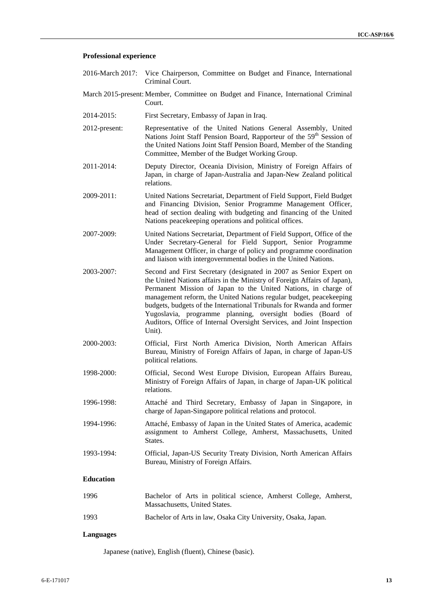#### **Professional experience**

- 2016-March 2017: Vice Chairperson, Committee on Budget and Finance, International Criminal Court.
- March 2015-present: Member, Committee on Budget and Finance, International Criminal Court.
- 2014-2015: First Secretary, Embassy of Japan in Iraq.
- 2012-present: Representative of the United Nations General Assembly, United Nations Joint Staff Pension Board, Rapporteur of the 59<sup>th</sup> Session of the United Nations Joint Staff Pension Board, Member of the Standing Committee, Member of the Budget Working Group.
- 2011-2014: Deputy Director, Oceania Division, Ministry of Foreign Affairs of Japan, in charge of Japan-Australia and Japan-New Zealand political relations.
- 2009-2011: United Nations Secretariat, Department of Field Support, Field Budget and Financing Division, Senior Programme Management Officer, head of section dealing with budgeting and financing of the United Nations peacekeeping operations and political offices.
- 2007-2009: United Nations Secretariat, Department of Field Support, Office of the Under Secretary-General for Field Support, Senior Programme Management Officer, in charge of policy and programme coordination and liaison with intergovernmental bodies in the United Nations.
- 2003-2007: Second and First Secretary (designated in 2007 as Senior Expert on the United Nations affairs in the Ministry of Foreign Affairs of Japan), Permanent Mission of Japan to the United Nations, in charge of management reform, the United Nations regular budget, peacekeeping budgets, budgets of the International Tribunals for Rwanda and former Yugoslavia, programme planning, oversight bodies (Board of Auditors, Office of Internal Oversight Services, and Joint Inspection Unit).
- 2000-2003: Official, First North America Division, North American Affairs Bureau, Ministry of Foreign Affairs of Japan, in charge of Japan-US political relations.
- 1998-2000: Official, Second West Europe Division, European Affairs Bureau, Ministry of Foreign Affairs of Japan, in charge of Japan-UK political relations.
- 1996-1998: Attaché and Third Secretary, Embassy of Japan in Singapore, in charge of Japan-Singapore political relations and protocol.
- 1994-1996: Attaché, Embassy of Japan in the United States of America, academic assignment to Amherst College, Amherst, Massachusetts, United States.
- 1993-1994: Official, Japan-US Security Treaty Division, North American Affairs Bureau, Ministry of Foreign Affairs.

### **Education**

1996 Bachelor of Arts in political science, Amherst College, Amherst, Massachusetts, United States. 1993 Bachelor of Arts in law, Osaka City University, Osaka, Japan.

#### **Languages**

Japanese (native), English (fluent), Chinese (basic).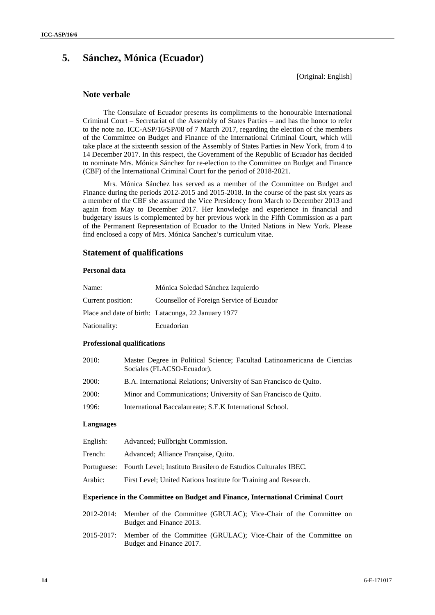# **5. Sánchez, Mónica (Ecuador)**

[Original: English]

## **Note verbale**

The Consulate of Ecuador presents its compliments to the honourable International Criminal Court – Secretariat of the Assembly of States Parties – and has the honor to refer to the note no. ICC-ASP/16/SP/08 of 7 March 2017, regarding the election of the members of the Committee on Budget and Finance of the International Criminal Court, which will take place at the sixteenth session of the Assembly of States Parties in New York, from 4 to 14 December 2017. In this respect, the Government of the Republic of Ecuador has decided to nominate Mrs. Mónica Sánchez for re-election to the Committee on Budget and Finance (CBF) of the International Criminal Court for the period of 2018-2021.

Mrs. Mónica Sánchez has served as a member of the Committee on Budget and Finance during the periods 2012-2015 and 2015-2018. In the course of the past six years as a member of the CBF she assumed the Vice Presidency from March to December 2013 and again from May to December 2017. Her knowledge and experience in financial and budgetary issues is complemented by her previous work in the Fifth Commission as a part of the Permanent Representation of Ecuador to the United Nations in New York. Please find enclosed a copy of Mrs. Mónica Sanchez's curriculum vitae.

## **Statement of qualifications**

## **Personal data**

| Name:             | Mónica Soledad Sánchez Izquierdo                    |
|-------------------|-----------------------------------------------------|
| Current position: | Counsellor of Foreign Service of Ecuador            |
|                   | Place and date of birth: Latacunga, 22 January 1977 |
| Nationality:      | Ecuadorian                                          |

#### **Professional qualifications**

| 2010:        | Master Degree in Political Science; Facultad Latinoamericana de Ciencias<br>Sociales (FLACSO-Ecuador). |
|--------------|--------------------------------------------------------------------------------------------------------|
| <b>2000:</b> | B.A. International Relations; University of San Francisco de Ouito.                                    |
| <b>2000:</b> | Minor and Communications; University of San Francisco de Quito.                                        |
| 1996:        | International Baccalaureate; S.E.K International School.                                               |
|              |                                                                                                        |

#### **Languages**

| English: | Advanced; Fullbright Commission.                                           |
|----------|----------------------------------------------------------------------------|
| French:  | Advanced: Alliance Française, Quito.                                       |
|          | Portuguese: Fourth Level; Instituto Brasilero de Estudios Culturales IBEC. |
| Arabic:  | First Level; United Nations Institute for Training and Research.           |
|          |                                                                            |

## **Experience in the Committee on Budget and Finance, International Criminal Court**

- 2012-2014: Member of the Committee (GRULAC); Vice-Chair of the Committee on Budget and Finance 2013.
- 2015-2017: Member of the Committee (GRULAC); Vice-Chair of the Committee on Budget and Finance 2017.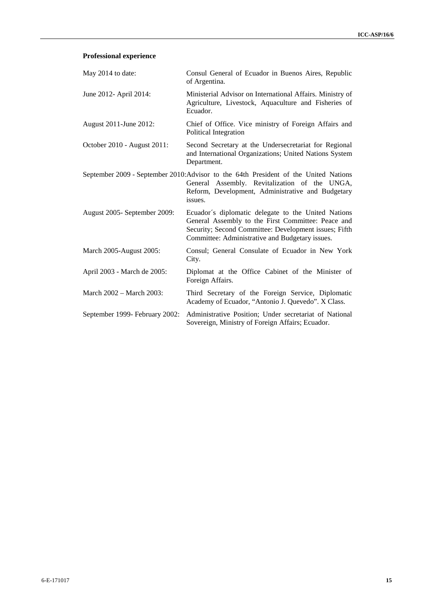## **Professional experience**

| May 2014 to date:              | Consul General of Ecuador in Buenos Aires, Republic<br>of Argentina.                                                                                                                                                  |
|--------------------------------|-----------------------------------------------------------------------------------------------------------------------------------------------------------------------------------------------------------------------|
| June 2012- April 2014:         | Ministerial Advisor on International Affairs. Ministry of<br>Agriculture, Livestock, Aquaculture and Fisheries of<br>Ecuador.                                                                                         |
| August 2011-June 2012:         | Chief of Office. Vice ministry of Foreign Affairs and<br>Political Integration                                                                                                                                        |
| October 2010 - August 2011:    | Second Secretary at the Undersecretariat for Regional<br>and International Organizations; United Nations System<br>Department.                                                                                        |
|                                | September 2009 - September 2010: Advisor to the 64th President of the United Nations<br>General Assembly. Revitalization of the UNGA,<br>Reform, Development, Administrative and Budgetary<br>issues.                 |
| August 2005 - September 2009:  | Ecuador's diplomatic delegate to the United Nations<br>General Assembly to the First Committee: Peace and<br>Security; Second Committee: Development issues; Fifth<br>Committee: Administrative and Budgetary issues. |
| March 2005-August 2005:        | Consul; General Consulate of Ecuador in New York<br>City.                                                                                                                                                             |
| April 2003 - March de 2005:    | Diplomat at the Office Cabinet of the Minister of<br>Foreign Affairs.                                                                                                                                                 |
| March 2002 – March 2003:       | Third Secretary of the Foreign Service, Diplomatic<br>Academy of Ecuador, "Antonio J. Quevedo". X Class.                                                                                                              |
| September 1999- February 2002: | Administrative Position; Under secretariat of National<br>Sovereign, Ministry of Foreign Affairs; Ecuador.                                                                                                            |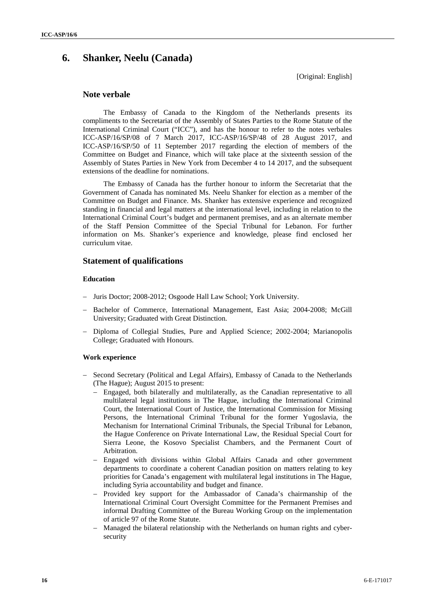# **6. Shanker, Neelu (Canada)**

[Original: English]

## **Note verbale**

The Embassy of Canada to the Kingdom of the Netherlands presents its compliments to the Secretariat of the Assembly of States Parties to the Rome Statute of the International Criminal Court ("ICC"), and has the honour to refer to the notes verbales ICC-ASP/16/SP/08 of 7 March 2017, ICC-ASP/16/SP/48 of 28 August 2017, and ICC-ASP/16/SP/50 of 11 September 2017 regarding the election of members of the Committee on Budget and Finance, which will take place at the sixteenth session of the Assembly of States Parties in New York from December 4 to 14 2017, and the subsequent extensions of the deadline for nominations.

The Embassy of Canada has the further honour to inform the Secretariat that the Government of Canada has nominated Ms. Neelu Shanker for election as a member of the Committee on Budget and Finance. Ms. Shanker has extensive experience and recognized standing in financial and legal matters at the international level, including in relation to the International Criminal Court's budget and permanent premises, and as an alternate member of the Staff Pension Committee of the Special Tribunal for Lebanon. For further information on Ms. Shanker's experience and knowledge, please find enclosed her curriculum vitae.

## **Statement of qualifications**

### **Education**

- Juris Doctor; 2008-2012; Osgoode Hall Law School; York University.
- Bachelor of Commerce, International Management, East Asia; 2004-2008; McGill University; Graduated with Great Distinction.
- Diploma of Collegial Studies, Pure and Applied Science; 2002-2004; Marianopolis College; Graduated with Honours.

#### **Work experience**

- Second Secretary (Political and Legal Affairs), Embassy of Canada to the Netherlands (The Hague); August 2015 to present:
	- Engaged, both bilaterally and multilaterally, as the Canadian representative to all multilateral legal institutions in The Hague, including the International Criminal Court, the International Court of Justice, the International Commission for Missing Persons, the International Criminal Tribunal for the former Yugoslavia, the Mechanism for International Criminal Tribunals, the Special Tribunal for Lebanon, the Hague Conference on Private International Law, the Residual Special Court for Sierra Leone, the Kosovo Specialist Chambers, and the Permanent Court of Arbitration.
	- Engaged with divisions within Global Affairs Canada and other government departments to coordinate a coherent Canadian position on matters relating to key priorities for Canada's engagement with multilateral legal institutions in The Hague, including Syria accountability and budget and finance.
	- $-$  Provided key support for the Ambassador of Canada's chairmanship of the International Criminal Court Oversight Committee for the Permanent Premises and informal Drafting Committee of the Bureau Working Group on the implementation of article 97 of the Rome Statute.
	- Managed the bilateral relationship with the Netherlands on human rights and cyber security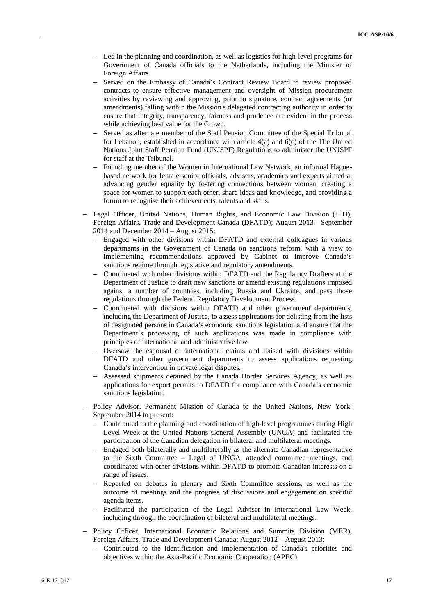- Led in the planning and coordination, as well as logistics for high-level programs for Government of Canada officials to the Netherlands, including the Minister of Foreign Affairs.
- Served on the Embassy of Canada's Contract Review Board to review proposed contracts to ensure effective management and oversight of Mission procurement activities by reviewing and approving, prior to signature, contract agreements (or amendments) falling within the Mission's delegated contracting authority in order to ensure that integrity, transparency, fairness and prudence are evident in the process while achieving best value for the Crown.
- Served as alternate member of the Staff Pension Committee of the Special Tribunal for Lebanon, established in accordance with article 4(a) and 6(c) of the The United Nations Joint Staff Pension Fund (UNJSPF) Regulations to administer the UNJSPF for staff at the Tribunal.
- Founding member of the Women in International Law Network, an informal Hague based network for female senior officials, advisers, academics and experts aimed at advancing gender equality by fostering connections between women, creating a space for women to support each other, share ideas and knowledge, and providing a forum to recognise their achievements, talents and skills.
- Legal Officer, United Nations, Human Rights, and Economic Law Division (JLH), Foreign Affairs, Trade and Development Canada (DFATD); August 2013 - September 2014 and December 2014 – August 2015:
	- Engaged with other divisions within DFATD and external colleagues in various departments in the Government of Canada on sanctions reform, with a view to implementing recommendations approved by Cabinet to improve Canada's sanctions regime through legislative and regulatory amendments.
	- Coordinated with other divisions within DFATD and the Regulatory Drafters at the Department of Justice to draft new sanctions or amend existing regulations imposed against a number of countries, including Russia and Ukraine, and pass those regulations through the Federal Regulatory Development Process.
	- Coordinated with divisions within DFATD and other government departments, including the Department of Justice, to assess applications for delisting from the lists of designated persons in Canada's economic sanctions legislation and ensure that the Department's processing of such applications was made in compliance with principles of international and administrative law.
	- Oversaw the espousal of international claims and liaised with divisions within DFATD and other government departments to assess applications requesting Canada's intervention in private legal disputes.
	- Assessed shipments detained by the Canada Border Services Agency, as well as applications for export permits to DFATD for compliance with Canada's economic sanctions legislation.
- Policy Advisor, Permanent Mission of Canada to the United Nations, New York; September 2014 to present:
	- Contributed to the planning and coordination of high-level programmes during High Level Week at the United Nations General Assembly (UNGA) and facilitated the participation of the Canadian delegation in bilateral and multilateral meetings.
	- Engaged both bilaterally and multilaterally as the alternate Canadian representative to the Sixth Committee – Legal of UNGA, attended committee meetings, and coordinated with other divisions within DFATD to promote Canadian interests on a range of issues.
	- Reported on debates in plenary and Sixth Committee sessions, as well as the outcome of meetings and the progress of discussions and engagement on specific agenda items.
	- Facilitated the participation of the Legal Adviser in International Law Week, including through the coordination of bilateral and multilateral meetings.
- Policy Officer, International Economic Relations and Summits Division (MER), Foreign Affairs, Trade and Development Canada; August 2012 – August 2013:
	- Contributed to the identification and implementation of Canada's priorities and objectives within the Asia-Pacific Economic Cooperation (APEC).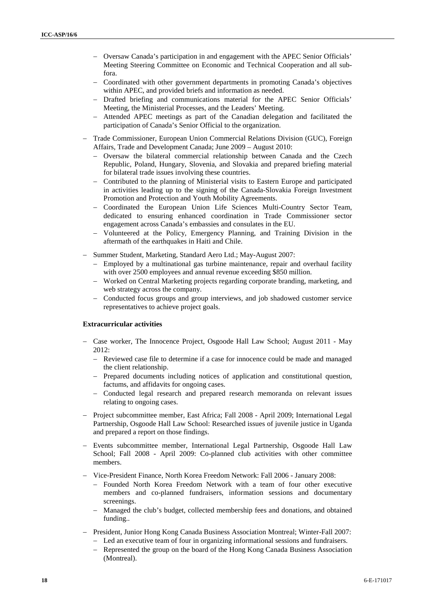- Oversaw Canada's participation in and engagement with the APEC Senior Officials' Meeting Steering Committee on Economic and Technical Cooperation and all subfora.
- Coordinated with other government departments in promoting Canada's objectives within APEC, and provided briefs and information as needed.
- Drafted briefing and communications material for the APEC Senior Officials' Meeting, the Ministerial Processes, and the Leaders' Meeting.
- Attended APEC meetings as part of the Canadian delegation and facilitated the participation of Canada's Senior Official to the organization.
- Trade Commissioner, European Union Commercial Relations Division (GUC), Foreign Affairs, Trade and Development Canada; June 2009 – August 2010:
	- Oversaw the bilateral commercial relationship between Canada and the Czech Republic, Poland, Hungary, Slovenia, and Slovakia and prepared briefing material for bilateral trade issues involving these countries.
	- Contributed to the planning of Ministerial visits to Eastern Europe and participated in activities leading up to the signing of the Canada-Slovakia Foreign Investment Promotion and Protection and Youth Mobility Agreements.
	- Coordinated the European Union Life Sciences Multi-Country Sector Team, dedicated to ensuring enhanced coordination in Trade Commissioner sector engagement across Canada's embassies and consulates in the EU.
	- Volunteered at the Policy, Emergency Planning, and Training Division in the aftermath of the earthquakes in Haiti and Chile.
- Summer Student, Marketing, Standard Aero Ltd.; May-August 2007:
	- Employed by a multinational gas turbine maintenance, repair and overhaul facility with over 2500 employees and annual revenue exceeding \$850 million.
	- Worked on Central Marketing projects regarding corporate branding, marketing, and web strategy across the company.
	- Conducted focus groups and group interviews, and job shadowed customer service representatives to achieve project goals.

### **Extracurricular activities**

- Case worker, The Innocence Project, Osgoode Hall Law School; August 2011 May  $2012$ 
	- Reviewed case file to determine if a case for innocence could be made and managed the client relationship.
	- Prepared documents including notices of application and constitutional question, factums, and affidavits for ongoing cases.
	- Conducted legal research and prepared research memoranda on relevant issues relating to ongoing cases.
- Project subcommittee member, East Africa; Fall 2008 April 2009; International Legal Partnership, Osgoode Hall Law School: Researched issues of juvenile justice in Uganda and prepared a report on those findings.
- Events subcommittee member, International Legal Partnership, Osgoode Hall Law School; Fall 2008 - April 2009: Co-planned club activities with other committee members.
- Vice-President Finance, North Korea Freedom Network: Fall 2006 January 2008:
	- Founded North Korea Freedom Network with a team of four other executive members and co-planned fundraisers, information sessions and documentary screenings.
	- Managed the club's budget, collected membership fees and donations, and obtained funding..
- President, Junior Hong Kong Canada Business Association Montreal; Winter-Fall 2007:
	- Led an executive team of four in organizing informational sessions and fundraisers.
	- Represented the group on the board of the Hong Kong Canada Business Association (Montreal).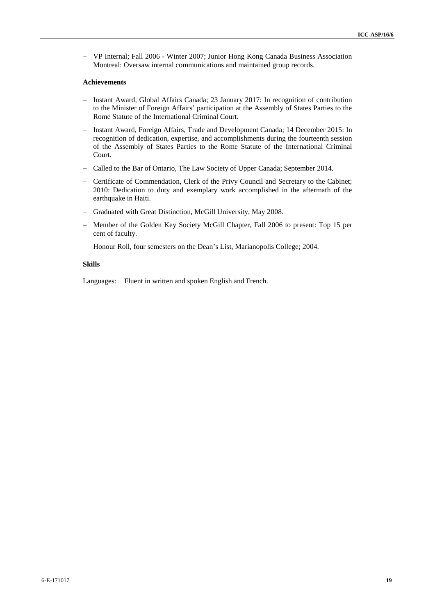VP Internal; Fall 2006 - Winter 2007; Junior Hong Kong Canada Business Association Montreal: Oversaw internal communications and maintained group records.

#### **Achievements**

- Instant Award, Global Affairs Canada; 23 January 2017: In recognition of contribution to the Minister of Foreign Affairs' participation at the Assembly of States Parties to the Rome Statute of the International Criminal Court.
- Instant Award, Foreign Affairs, Trade and Development Canada; 14 December 2015: In recognition of dedication, expertise, and accomplishments during the fourteenth session of the Assembly of States Parties to the Rome Statute of the International Criminal Court.
- Called to the Bar of Ontario, The Law Society of Upper Canada; September 2014.
- Certificate of Commendation, Clerk of the Privy Council and Secretary to the Cabinet; 2010: Dedication to duty and exemplary work accomplished in the aftermath of the earthquake in Haiti.
- Graduated with Great Distinction, McGill University, May 2008.
- Member of the Golden Key Society McGill Chapter, Fall 2006 to present: Top 15 per cent of faculty.
- Honour Roll, four semesters on the Dean's List, Marianopolis College; 2004.

#### **Skills**

Languages: Fluent in written and spoken English and French.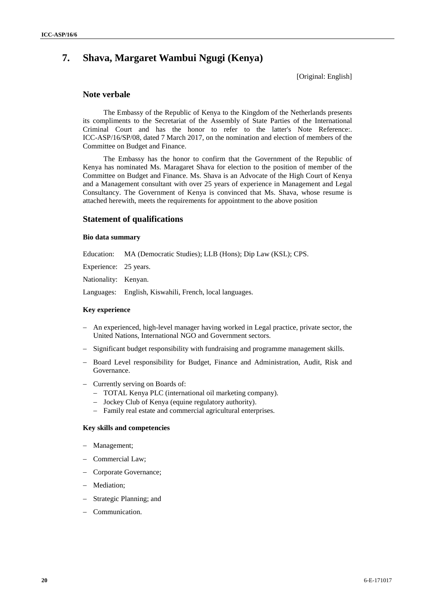# **7. Shava, Margaret Wambui Ngugi (Kenya)**

[Original: English]

## **Note verbale**

The Embassy of the Republic of Kenya to the Kingdom of the Netherlands presents its compliments to the Secretariat of the Assembly of State Parties of the International Criminal Court and has the honor to refer to the latter's Note Reference:. ICC-ASP/16/SP/08, dated 7 March 2017, on the nomination and election of members of the Committee on Budget and Finance.

The Embassy has the honor to confirm that the Government of the Republic of Kenya has nominated Ms. Maragaret Shava for election to the position of member of the Committee on Budget and Finance. Ms. Shava is an Advocate of the High Court of Kenya and a Management consultant with over 25 years of experience in Management and Legal Consultancy. The Government of Kenya is convinced that Ms. Shava, whose resume is attached herewith, meets the requirements for appointment to the above position

## **Statement of qualifications**

## **Bio data summary**

Education: MA (Democratic Studies); LLB (Hons); Dip Law (KSL); CPS.

Experience: 25 years.

Nationality: Kenyan.

Languages: English, Kiswahili, French, local languages.

#### **Key experience**

- An experienced, high-level manager having worked in Legal practice, private sector, the United Nations, International NGO and Government sectors.
- Significant budget responsibility with fundraising and programme management skills.
- Board Level responsibility for Budget, Finance and Administration, Audit, Risk and Governance.
- Currently serving on Boards of:
	- TOTAL Kenya PLC (international oil marketing company).
	- Jockey Club of Kenya (equine regulatory authority).
	- Family real estate and commercial agricultural enterprises.

### **Key skills and competencies**

- Management;
- Commercial Law:
- Corporate Governance;
- Mediation;
- Strategic Planning; and
- Communication.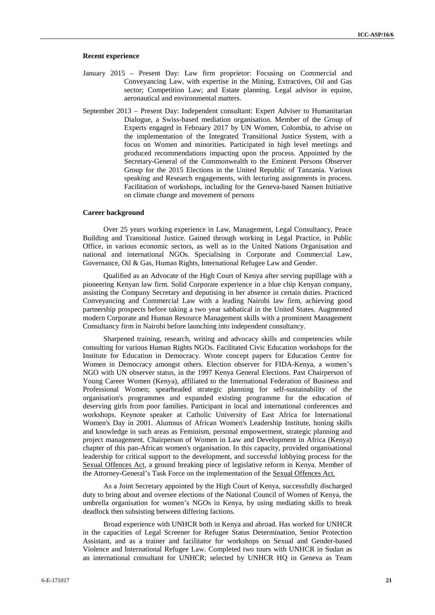#### **Recent experience**

- January 2015 Present Day: Law firm proprietor: Focusing on Commercial and Conveyancing Law, with expertise in the Mining, Extractives, Oil and Gas sector; Competition Law; and Estate planning. Legal advisor in equine, aeronautical and environmental matters.
- September 2013 Present Day: Independent consultant: Expert Adviser to Humanitarian Dialogue, a Swiss-based mediation organisation. Member of the Group of Experts engaged in February 2017 by UN Women, Colombia, to advise on the implementation of the Integrated Transitional Justice System, with a focus on Women and minorities. Participated in high level meetings and produced recommendations impacting upon the process. Appointed by the Secretary-General of the Commonwealth to the Eminent Persons Observer Group for the 2015 Elections in the United Republic of Tanzania. Various speaking and Research engagements, with lecturing assignments in process. Facilitation of workshops, including for the Geneva-based Nansen Initiative on climate change and movement of persons

#### **Career background**

Over 25 years working experience in Law, Management, Legal Consultancy, Peace Building and Transitional Justice. Gained through working in Legal Practice, in Public Office, in various economic sectors, as well as in the United Nations Organisation and national and international NGOs. Specialising in Corporate and Commercial Law, Governance, Oil & Gas, Human Rights, International Refugee Law and Gender.

Qualified as an Advocate of the High Court of Kenya after serving pupillage with a pioneering Kenyan law firm. Solid Corporate experience in a blue chip Kenyan company, assisting the Company Secretary and deputising in her absence in certain duties. Practiced Conveyancing and Commercial Law with a leading Nairobi law firm, achieving good partnership prospects before taking a two year sabbatical in the United States. Augmented modern Corporate and Human Resource Management skills with a prominent Management Consultancy firm in Nairobi before launching into independent consultancy.

Sharpened training, research, writing and advocacy skills and competencies while consulting for various Human Rights NGOs. Facilitated Civic Education workshops for the Institute for Education in Democracy. Wrote concept papers for Education Centre for Women in Democracy amongst others. Election observer for FIDA-Kenya, a women's NGO with UN observer status, in the 1997 Kenya General Elections. Past Chairperson of Young Career Women (Kenya), affiliated to the International Federation of Business and Professional Women; spearheaded strategic planning for self-sustainability of the organisation's programmes and expanded existing programme for the education of deserving girls from poor families. Participant in local and international conferences and workshops. Keynote speaker at Catholic University of East Africa for International Women's Day in 2001. Alumnus of African Women's Leadership Institute, honing skills and knowledge in such areas as Feminism, personal empowerment, strategic planning and project management. Chairperson of Women in Law and Development in Africa (Kenya) chapter of this pan-African women's organisation. In this capacity, provided organisational leadership for critical support to the development, and successful lobbying process for the Sexual Offences Act, a ground breaking piece of legislative reform in Kenya. Member of the Attorney-General's Task Force on the implementation of the Sexual Offences Act.

As a Joint Secretary appointed by the High Court of Kenya, successfully discharged duty to bring about and oversee elections of the National Council of Women of Kenya, the umbrella organisation for women's NGOs in Kenya, by using mediating skills to break deadlock then subsisting between differing factions.

Broad experience with UNHCR both in Kenya and abroad. Has worked for UNHCR in the capacities of Legal Screener for Refugee Status Determination, Senior Protection Assistant, and as a trainer and facilitator for workshops on Sexual and Gender-based Violence and International Refugee Law. Completed two tours with UNHCR in Sudan as an international consultant for UNHCR; selected by UNHCR HQ in Geneva as Team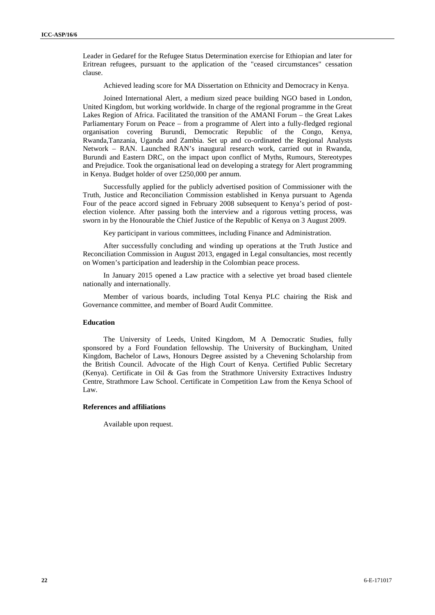Leader in Gedaref for the Refugee Status Determination exercise for Ethiopian and later for Eritrean refugees, pursuant to the application of the "ceased circumstances" cessation clause.

Achieved leading score for MA Dissertation on Ethnicity and Democracy in Kenya.

Joined International Alert, a medium sized peace building NGO based in London, United Kingdom, but working worldwide. In charge of the regional programme in the Great Lakes Region of Africa. Facilitated the transition of the AMANI Forum – the Great Lakes Parliamentary Forum on Peace – from a programme of Alert into a fully-fledged regional organisation covering Burundi, Democratic Republic of the Congo, Kenya, Rwanda,Tanzania, Uganda and Zambia. Set up and co-ordinated the Regional Analysts Network – RAN. Launched RAN's inaugural research work, carried out in Rwanda, Burundi and Eastern DRC, on the impact upon conflict of Myths, Rumours, Stereotypes and Prejudice. Took the organisational lead on developing a strategy for Alert programming in Kenya. Budget holder of over £250,000 per annum.

Successfully applied for the publicly advertised position of Commissioner with the Truth, Justice and Reconciliation Commission established in Kenya pursuant to Agenda Four of the peace accord signed in February 2008 subsequent to Kenya's period of post election violence. After passing both the interview and a rigorous vetting process, was sworn in by the Honourable the Chief Justice of the Republic of Kenya on 3 August 2009.

Key participant in various committees, including Finance and Administration.

After successfully concluding and winding up operations at the Truth Justice and Reconciliation Commission in August 2013, engaged in Legal consultancies, most recently on Women's participation and leadership in the Colombian peace process.

In January 2015 opened a Law practice with a selective yet broad based clientele nationally and internationally.

Member of various boards, including Total Kenya PLC chairing the Risk and Governance committee, and member of Board Audit Committee.

#### **Education**

The University of Leeds, United Kingdom, M A Democratic Studies, fully sponsored by a Ford Foundation fellowship. The University of Buckingham, United Kingdom, Bachelor of Laws, Honours Degree assisted by a Chevening Scholarship from the British Council. Advocate of the High Court of Kenya. Certified Public Secretary (Kenya). Certificate in Oil & Gas from the Strathmore University Extractives Industry Centre, Strathmore Law School. Certificate in Competition Law from the Kenya School of  $\mathbf{I}$  aw.

#### **References and affiliations**

Available upon request.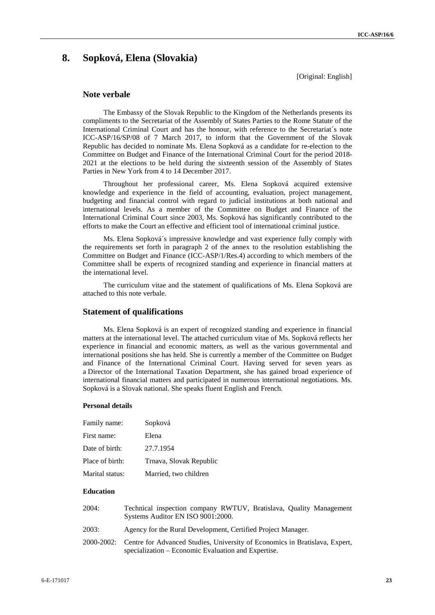## **8. Sopková, Elena (Slovakia)**

[Original: English]

## **Note verbale**

The Embassy of the Slovak Republic to the Kingdom of the Netherlands presents its compliments to the Secretariat of the Assembly of States Parties to the Rome Statute of the International Criminal Court and has the honour, with reference to the Secretariat´s note ICC-ASP/16/SP/08 of 7 March 2017, to inform that the Government of the Slovak Republic has decided to nominate Ms. Elena Sopková as a candidate for re-election to the Committee on Budget and Finance of the International Criminal Court for the period 2018- 2021 at the elections to be held during the sixteenth session of the Assembly of States Parties in New York from 4 to 14 December 2017.

Throughout her professional career, Ms. Elena Sopková acquired extensive knowledge and experience in the field of accounting, evaluation, project management, budgeting and financial control with regard to judicial institutions at both national and international levels. As a member of the Committee on Budget and Finance of the International Criminal Court since 2003, Ms. Sopková has significantly contributed to the efforts to make the Court an effective and efficient tool of international criminal justice.

Ms. Elena Sopková´s impressive knowledge and vast experience fully comply with the requirements set forth in paragraph 2 of the annex to the resolution establishing the Committee on Budget and Finance (ICC-ASP/1/Res.4) according to which members of the Committee shall be experts of recognized standing and experience in financial matters at the international level.

The curriculum vitae and the statement of qualifications of Ms. Elena Sopková are attached to this note verbale.

#### **Statement of qualifications**

Ms. Elena Sopková is an expert of recognized standing and experience in financial matters at the international level. The attached curriculum vitae of Ms. Sopková reflects her experience in financial and economic matters, as well as the various governmental and international positions she has held. She is currently a member of the Committee on Budget and Finance of the International Criminal Court. Having served for seven years as a Director of the International Taxation Department, she has gained broad experience of international financial matters and participated in numerous international negotiations. Ms. Sopková is a Slovak national. She speaks fluent English and French.

#### **Personal details**

| Family name:    | Sopková                 |
|-----------------|-------------------------|
| First name:     | Elena                   |
| Date of birth:  | 27.7.1954               |
| Place of birth: | Trnava, Slovak Republic |
| Marital status: | Married, two children   |

## **Education**

| 2004: | Technical inspection company RWTUV, Bratislava, Quality Management<br>Systems Auditor EN ISO 9001:2000.                                       |
|-------|-----------------------------------------------------------------------------------------------------------------------------------------------|
| 2003: | Agency for the Rural Development, Certified Project Manager.                                                                                  |
|       | 2000-2002: Centre for Advanced Studies, University of Economics in Bratislava, Expert,<br>specialization – Economic Evaluation and Expertise. |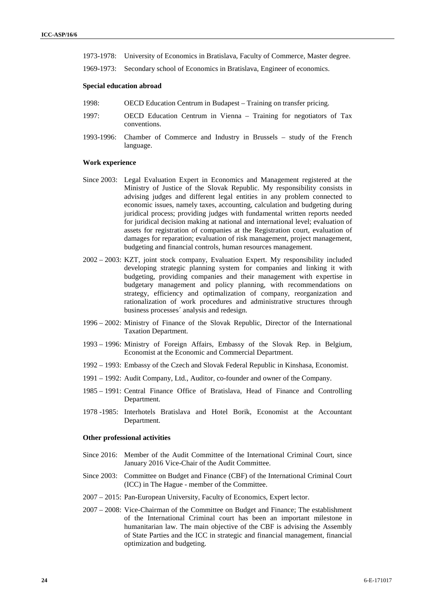- 1973-1978: University of Economics in Bratislava, Faculty of Commerce, Master degree.
- 1969-1973: Secondary school of Economics in Bratislava, Engineer of economics.

#### **Special education abroad**

- 1998: OECD Education Centrum in Budapest Training on transfer pricing.
- 1997: OECD Education Centrum in Vienna Training for negotiators of Tax conventions.
- 1993-1996: Chamber of Commerce and Industry in Brussels study of the French language.

#### **Work experience**

- Since 2003: Legal Evaluation Expert in Economics and Management registered at the Ministry of Justice of the Slovak Republic. My responsibility consists in advising judges and different legal entities in any problem connected to economic issues, namely taxes, accounting, calculation and budgeting during juridical process; providing judges with fundamental written reports needed for juridical decision making at national and international level; evaluation of assets for registration of companies at the Registration court, evaluation of damages for reparation; evaluation of risk management, project management, budgeting and financial controls, human resources management.
- 2002 2003: KZT, joint stock company, Evaluation Expert. My responsibility included developing strategic planning system for companies and linking it with budgeting, providing companies and their management with expertise in budgetary management and policy planning, with recommendations on strategy, efficiency and optimalization of company, reorganization and rationalization of work procedures and administrative structures through business processes´ analysis and redesign.
- 1996 2002: Ministry of Finance of the Slovak Republic, Director of the International Taxation Department.
- 1993 1996: Ministry of Foreign Affairs, Embassy of the Slovak Rep. in Belgium, Economist at the Economic and Commercial Department.
- 1992 1993: Embassy of the Czech and Slovak Federal Republic in Kinshasa, Economist.
- 1991 1992: Audit Company, Ltd., Auditor, co-founder and owner of the Company.
- 1985 1991: Central Finance Office of Bratislava, Head of Finance and Controlling Department.
- 1978 -1985: Interhotels Bratislava and Hotel Borik, Economist at the Accountant Department.

#### **Other professional activities**

- Since 2016: Member of the Audit Committee of the International Criminal Court, since January 2016 Vice-Chair of the Audit Committee.
- Since 2003: Committee on Budget and Finance (CBF) of the International Criminal Court (ICC) in The Hague - member of the Committee.
- 2007 2015: Pan-European University, Faculty of Economics, Expert lector.
- 2007 2008: Vice-Chairman of the Committee on Budget and Finance; The establishment of the International Criminal court has been an important milestone in humanitarian law. The main objective of the CBF is advising the Assembly of State Parties and the ICC in strategic and financial management, financial optimization and budgeting.